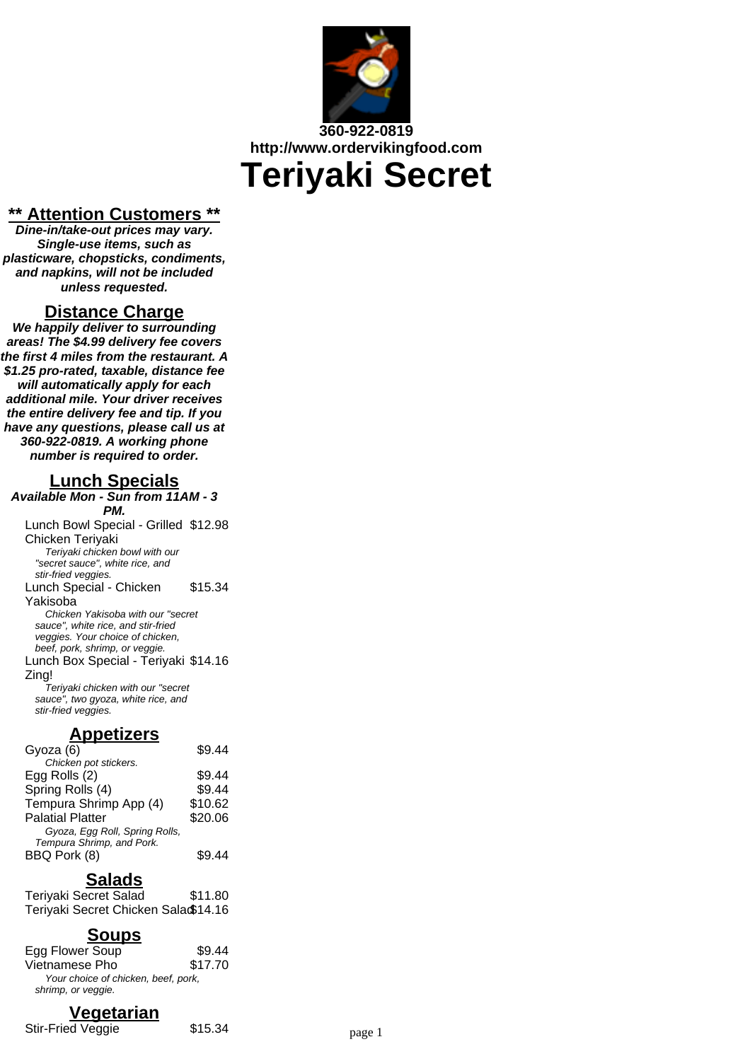

## **360-922-0819 http://www.ordervikingfood.com**

# **Teriyaki Secret**

#### **\*\* Attention Customers \*\***

**Dine-in/take-out prices may vary. Single-use items, such as plasticware, chopsticks, condiments, and napkins, will not be included unless requested.**

#### **Distance Charge**

**We happily deliver to surrounding areas! The \$4.99 delivery fee covers the first 4 miles from the restaurant. A \$1.25 pro-rated, taxable, distance fee will automatically apply for each additional mile. Your driver receives the entire delivery fee and tip. If you have any questions, please call us at 360-922-0819. A working phone number is required to order.**

## **Lunch Specials**

**Available Mon - Sun from 11AM - 3 PM.** Lunch Bowl Special - Grilled \$12.98 Chicken Teriyaki Teriyaki chicken bowl with our "secret sauce", white rice, and stir-fried veggies. Lunch Special - Chicken Yakisoba \$15.34 Chicken Yakisoba with our "secret sauce", white rice, and stir-fried veggies. Your choice of chicken, beef, pork, shrimp, or veggie. Lunch Box Special - Teriyaki \$14.16 Zing! Teriyaki chicken with our "secret sauce", two gyoza, white rice, and stir-fried veggies.

## **Appetizers**

| \$9.44  |
|---------|
|         |
| \$9.44  |
| \$9.44  |
| \$10.62 |
| \$20.06 |
|         |
|         |
| S9 44   |
|         |

## **Salads**

Teriyaki Secret Salad \$11.80 Teriyaki Secret Chicken Salad\$14.16

## **Soups**

| Egg Flower Soup                     | \$9.44  |
|-------------------------------------|---------|
| Vietnamese Pho                      | \$17.70 |
| Your choice of chicken, beef, pork, |         |
| shrimp, or veggie.                  |         |

## **Vegetarian**

Stir-Fried Veggie  $$15.34$  page 1